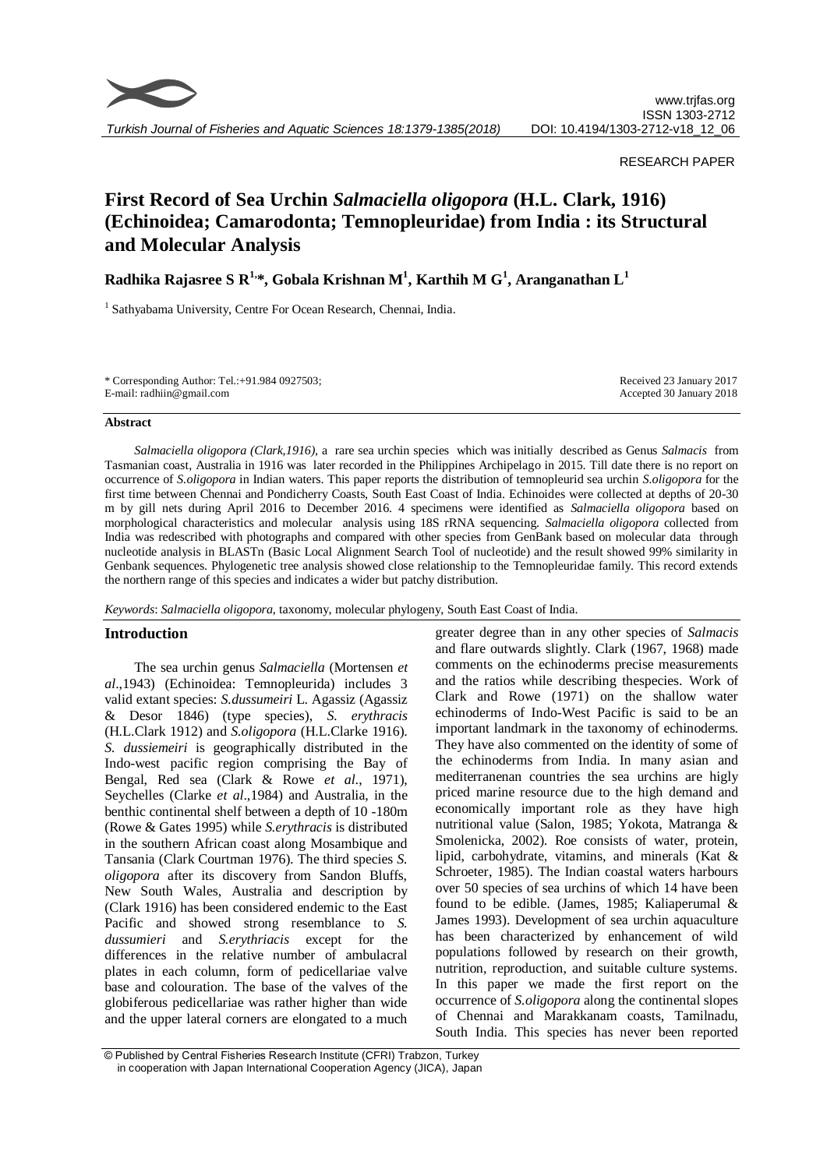

# RESEARCH PAPER

# **First Record of Sea Urchin** *Salmaciella oligopora* **(H.L. Clark, 1916) (Echinoidea; Camarodonta; Temnopleuridae) from India : its Structural and Molecular Analysis**

**Radhika Rajasree S R1,\*, Gobala Krishnan M<sup>1</sup> , Karthih M G<sup>1</sup> , Aranganathan L<sup>1</sup>**

<sup>1</sup> Sathyabama University, Centre For Ocean Research, Chennai, India.

| * Corresponding Author: Tel.:+91.984 0927503; | Received 23 January 2017 |
|-----------------------------------------------|--------------------------|
| E-mail: radhiin@gmail.com                     | Accepted 30 January 2018 |

### **Abstract**

*Salmaciella oligopora (Clark,1916),* a rare sea urchin species which was initially described as Genus *Salmacis* from Tasmanian coast, Australia in 1916 was later recorded in the Philippines Archipelago in 2015. Till date there is no report on occurrence of *S.oligopora* in Indian waters. This paper reports the distribution of temnopleurid sea urchin *S.oligopora* for the first time between Chennai and Pondicherry Coasts, South East Coast of India. Echinoides were collected at depths of 20-30 m by gill nets during April 2016 to December 2016. 4 specimens were identified as *Salmaciella oligopora* based on morphological characteristics and molecular analysis using 18S rRNA sequencing. *Salmaciella oligopora* collected from India was redescribed with photographs and compared with other species from GenBank based on molecular data through nucleotide analysis in BLASTn (Basic Local Alignment Search Tool of nucleotide) and the result showed 99% similarity in Genbank sequences. Phylogenetic tree analysis showed close relationship to the Temnopleuridae family. This record extends the northern range of this species and indicates a wider but patchy distribution.

*Keywords*: *Salmaciella oligopora*, taxonomy, molecular phylogeny, South East Coast of India.

# **Introduction**

The sea urchin genus *Salmaciella* (Mortensen *et al*.,1943) (Echinoidea: Temnopleurida) includes 3 valid extant species: *S.dussumeiri* L. Agassiz (Agassiz & Desor 1846) (type species), *S. erythracis* (H.L.Clark 1912) and *S.oligopora* (H.L.Clarke 1916). *S. dussiemeiri* is geographically distributed in the Indo-west pacific region comprising the Bay of Bengal, Red sea (Clark & Rowe *et al*., 1971), Seychelles (Clarke *et al*.,1984) and Australia, in the benthic continental shelf between a depth of 10 -180m (Rowe & Gates 1995) while *S.erythracis* is distributed in the southern African coast along Mosambique and Tansania (Clark Courtman 1976). The third species *S. oligopora* after its discovery from Sandon Bluffs, New South Wales, Australia and description by (Clark 1916) has been considered endemic to the East Pacific and showed strong resemblance to *S. dussumieri* and *S.erythriacis* except for the differences in the relative number of ambulacral plates in each column, form of pedicellariae valve base and colouration. The base of the valves of the globiferous pedicellariae was rather higher than wide and the upper lateral corners are elongated to a much

greater degree than in any other species of *Salmacis* and flare outwards slightly. Clark (1967, 1968) made comments on the echinoderms precise measurements and the ratios while describing thespecies. Work of Clark and Rowe (1971) on the shallow water echinoderms of Indo-West Pacific is said to be an important landmark in the taxonomy of echinoderms. They have also commented on the identity of some of the echinoderms from India. In many asian and mediterranenan countries the sea urchins are higly priced marine resource due to the high demand and economically important role as they have high nutritional value (Salon, 1985; Yokota, Matranga & Smolenicka, 2002). Roe consists of water, protein, lipid, carbohydrate, vitamins, and minerals (Kat & Schroeter, 1985). The Indian coastal waters harbours over 50 species of sea urchins of which 14 have been found to be edible. (James, 1985; Kaliaperumal & James 1993). Development of sea urchin aquaculture has been characterized by enhancement of wild populations followed by research on their growth, nutrition, reproduction, and suitable culture systems*.*  In this paper we made the first report on the occurrence of *S.oligopora* along the continental slopes of Chennai and Marakkanam coasts, Tamilnadu, South India. This species has never been reported

<sup>©</sup> Published by Central Fisheries Research Institute (CFRI) Trabzon, Turkey in cooperation with Japan International Cooperation Agency (JICA), Japan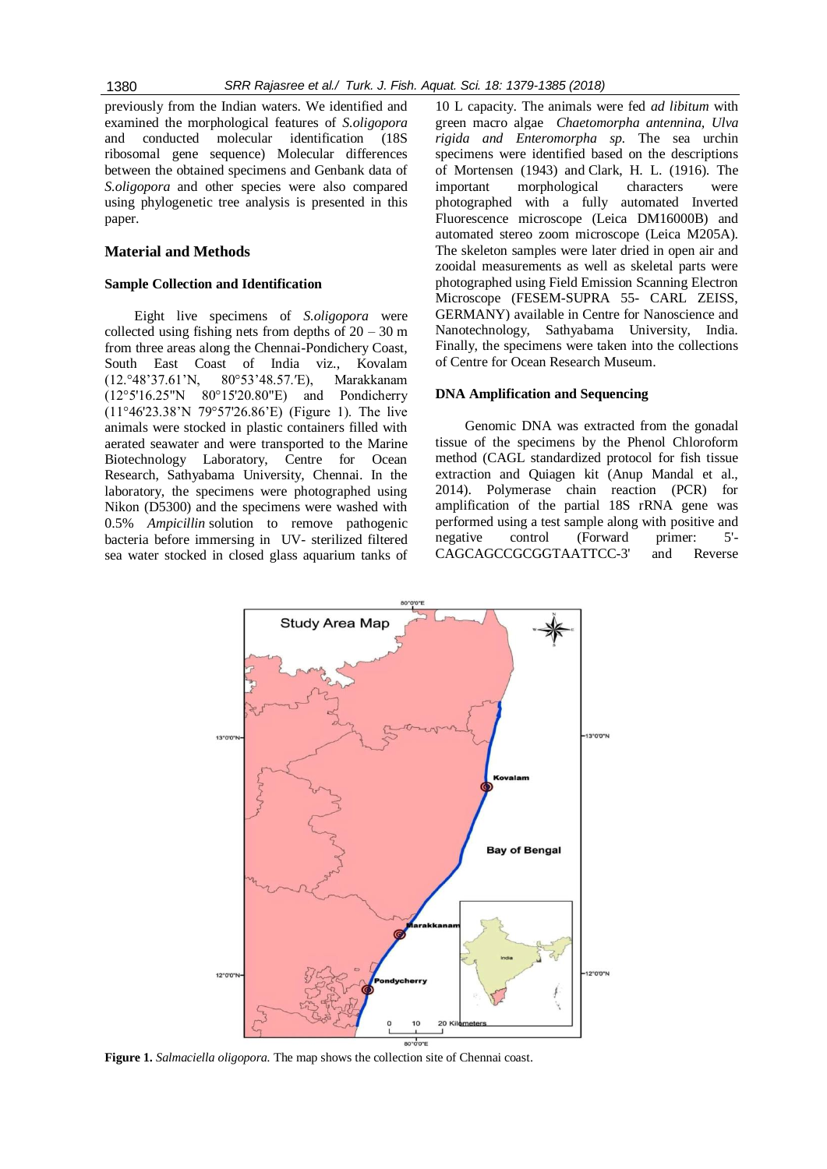previously from the Indian waters. We identified and examined the morphological features of *S.oligopora* and conducted molecular identification (18S ribosomal gene sequence) Molecular differences between the obtained specimens and Genbank data of *S.oligopora* and other species were also compared using phylogenetic tree analysis is presented in this paper.

# **Material and Methods**

### **Sample Collection and Identification**

Eight live specimens of *S.oligopora* were collected using fishing nets from depths of  $20 - 30$  m from three areas along the Chennai-Pondichery Coast, South East Coast of India viz., Kovalam (12.°48'37.61'N, 80°53'48.57.′E), Marakkanam (12°5'16.25"N 80°15'20.80"E) and Pondicherry (11°46'23.38'N 79°57'26.86'E) (Figure 1). The live animals were stocked in plastic containers filled with aerated seawater and were transported to the Marine Biotechnology Laboratory, Centre for Ocean Research, Sathyabama University, Chennai. In the laboratory, the specimens were photographed using Nikon (D5300) and the specimens were washed with 0.5% *Ampicillin* solution to remove pathogenic bacteria before immersing in UV- sterilized filtered sea water stocked in closed glass aquarium tanks of 10 L capacity. The animals were fed *ad libitum* with green macro algae *Chaetomorpha antennina, Ulva rigida and Enteromorpha sp.* The sea urchin specimens were identified based on the descriptions of Mortensen (1943) and Clark, H. L. (1916). The important morphological characters were photographed with a fully automated Inverted Fluorescence microscope (Leica DM16000B) and automated stereo zoom microscope (Leica M205A). The skeleton samples were later dried in open air and zooidal measurements as well as skeletal parts were photographed using Field Emission Scanning Electron Microscope (FESEM-SUPRA 55- CARL ZEISS, GERMANY) available in Centre for Nanoscience and Nanotechnology, Sathyabama University, India. Finally, the specimens were taken into the collections of Centre for Ocean Research Museum.

### **DNA Amplification and Sequencing**

Genomic DNA was extracted from the gonadal tissue of the specimens by the Phenol Chloroform method (CAGL standardized protocol for fish tissue extraction and Quiagen kit (Anup Mandal et al., 2014). Polymerase chain reaction (PCR) for amplification of the partial 18S rRNA gene was performed using a test sample along with positive and negative control (Forward primer: 5'- CAGCAGCCGCGGTAATTCC-3' and Reverse



**Figure 1.** *Salmaciella oligopora.* The map shows the collection site of Chennai coast.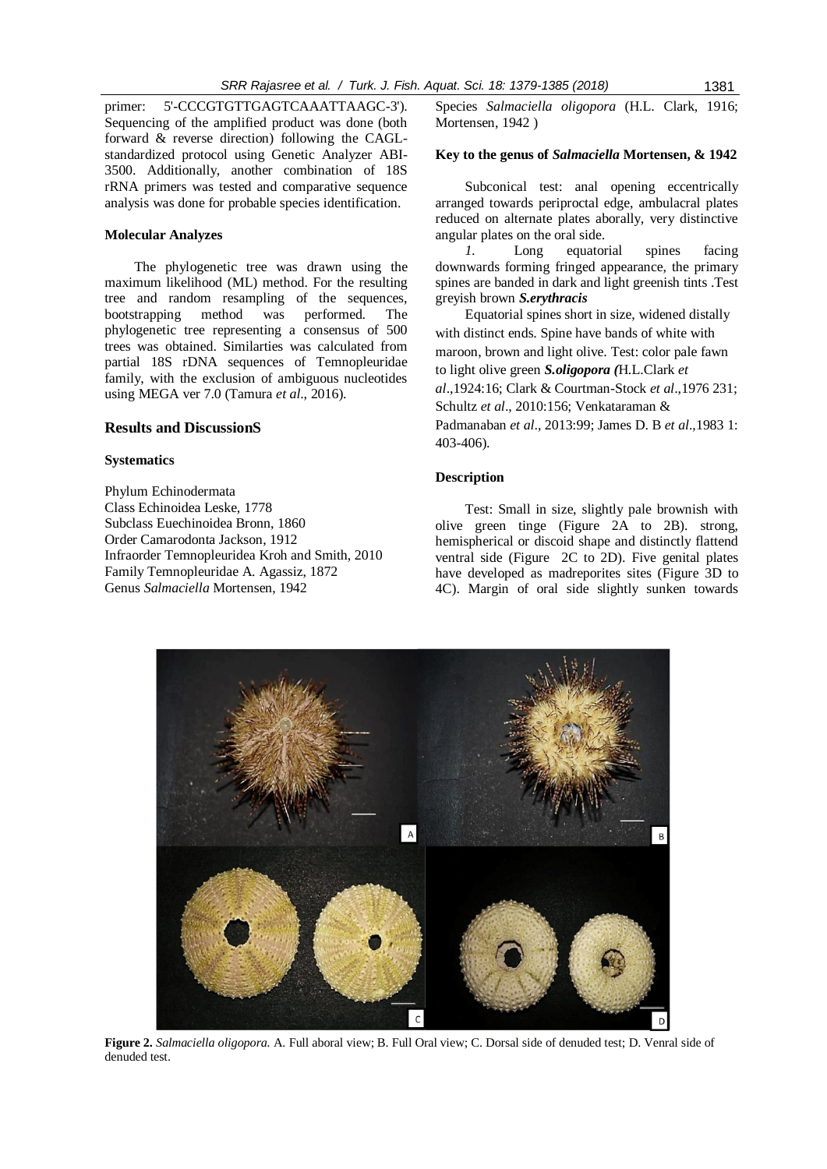primer: 5'-CCCGTGTTGAGTCAAATTAAGC-3'). Sequencing of the amplified product was done (both forward & reverse direction) following the CAGLstandardized protocol using Genetic Analyzer ABI-3500. Additionally, another combination of 18S rRNA primers was tested and comparative sequence analysis was done for probable species identification.

# **Molecular Analyzes**

The phylogenetic tree was drawn using the maximum likelihood (ML) method. For the resulting tree and random resampling of the sequences, bootstrapping method was performed. The phylogenetic tree representing a consensus of 500 trees was obtained. Similarties was calculated from partial 18S rDNA sequences of Temnopleuridae family, with the exclusion of ambiguous nucleotides using MEGA ver 7.0 (Tamura *et al*., 2016).

#### **Results and DiscussionS**

### **Systematics**

Phylum Echinodermata Class Echinoidea Leske, 1778 Subclass Euechinoidea Bronn, 1860 Order Camarodonta Jackson, 1912 Infraorder Temnopleuridea Kroh and Smith, 2010 Family Temnopleuridae A. Agassiz, 1872 Genus *Salmaciella* Mortensen, 1942

Species *Salmaciella oligopora* (H.L. Clark, 1916; Mortensen, 1942)

# **Key to the genus of** *Salmaciella* **Mortensen, & 1942**

Subconical test: anal opening eccentrically arranged towards periproctal edge, ambulacral plates reduced on alternate plates aborally, very distinctive angular plates on the oral side.

*1.* Long equatorial spines facing downwards forming fringed appearance, the primary spines are banded in dark and light greenish tints .Test greyish brown *S.erythracis*

Equatorial spines short in size, widened distally with distinct ends. Spine have bands of white with maroon, brown and light olive. Test: color pale fawn to light olive green *S.oligopora (*H.L.Clark *et* 

*al*.,1924:16; Clark & Courtman-Stock *et al*.,1976 231; Schultz *et al*., 2010:156; Venkataraman &

Padmanaban *et al*., 2013:99; James D. B *et al*.,1983 1: 403-406).

# **Description**

Test: Small in size, slightly pale brownish with olive green tinge (Figure 2A to 2B). strong, hemispherical or discoid shape and distinctly flattend ventral side (Figure 2C to 2D). Five genital plates have developed as madreporites sites (Figure 3D to 4C). Margin of oral side slightly sunken towards



**Figure 2.** *Salmaciella oligopora.* A. Full aboral view; B. Full Oral view; C. Dorsal side of denuded test; D. Venral side of denuded test.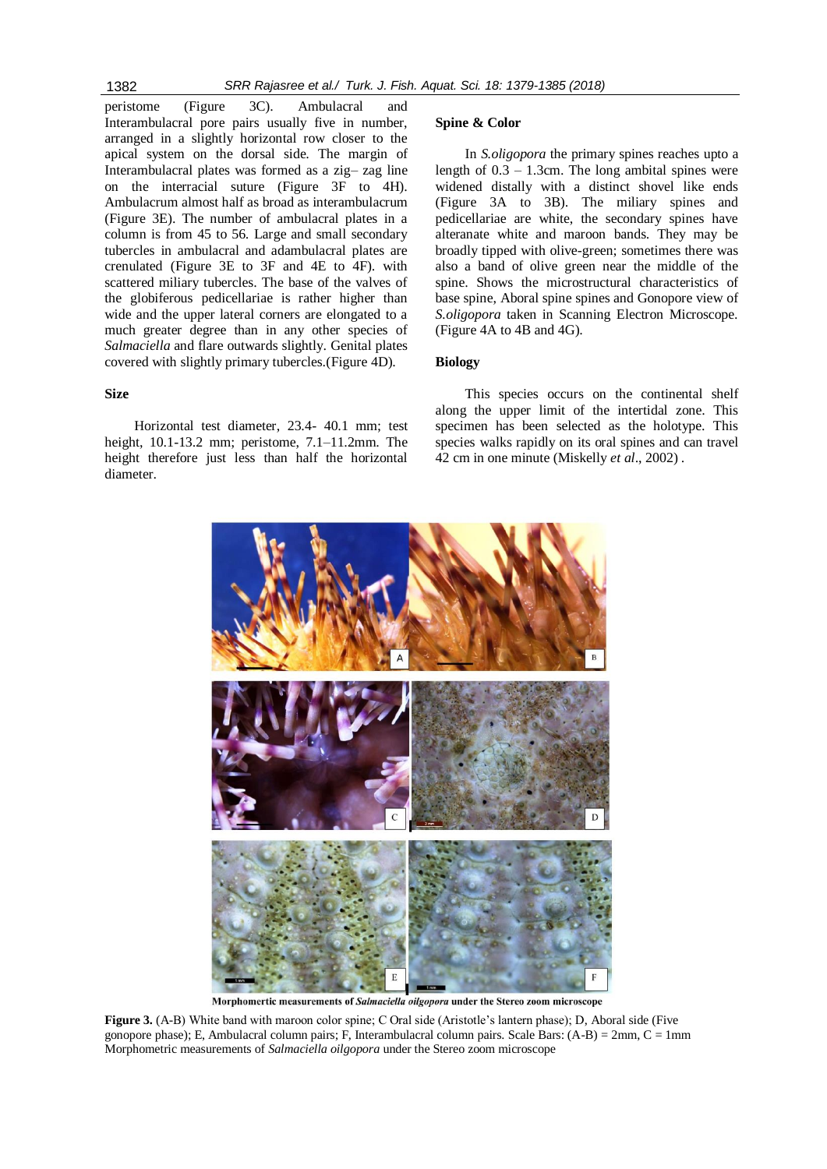peristome (Figure 3C). Ambulacral and Interambulacral pore pairs usually five in number, arranged in a slightly horizontal row closer to the apical system on the dorsal side. The margin of Interambulacral plates was formed as a zig– zag line on the interracial suture (Figure 3F to 4H). Ambulacrum almost half as broad as interambulacrum (Figure 3E). The number of ambulacral plates in a column is from 45 to 56. Large and small secondary tubercles in ambulacral and adambulacral plates are crenulated (Figure 3E to 3F and 4E to 4F). with scattered miliary tubercles. The base of the valves of the globiferous pedicellariae is rather higher than wide and the upper lateral corners are elongated to a much greater degree than in any other species of *Salmaciella* and flare outwards slightly. Genital plates covered with slightly primary tubercles.(Figure 4D).

# **Size**

Horizontal test diameter, 23.4- 40.1 mm; test height, 10.1-13.2 mm; peristome, 7.1–11.2mm. The height therefore just less than half the horizontal diameter.

#### **Spine & Color**

In *S.oligopora* the primary spines reaches upto a length of  $0.3 - 1.3$ cm. The long ambital spines were widened distally with a distinct shovel like ends (Figure 3A to 3B). The miliary spines and pedicellariae are white, the secondary spines have alteranate white and maroon bands. They may be broadly tipped with olive-green; sometimes there was also a band of olive green near the middle of the spine. Shows the microstructural characteristics of base spine, Aboral spine spines and Gonopore view of *S.oligopora* taken in Scanning Electron Microscope. (Figure 4A to 4B and 4G).

## **Biology**

This species occurs on the continental shelf along the upper limit of the intertidal zone. This specimen has been selected as the holotype. This species walks rapidly on its oral spines and can travel 42 cm in one minute (Miskelly *et al*., 2002) .



Morphomertic measurements of Salmaciella oilgopora under the Stereo zoom microscope

**Figure 3.** (A-B) White band with maroon color spine; C Oral side (Aristotle's lantern phase); D, Aboral side (Five gonopore phase); E, Ambulacral column pairs; F, Interambulacral column pairs. Scale Bars: (A-B) = 2mm, C = 1mm Morphometric measurements of *Salmaciella oilgopora* under the Stereo zoom microscope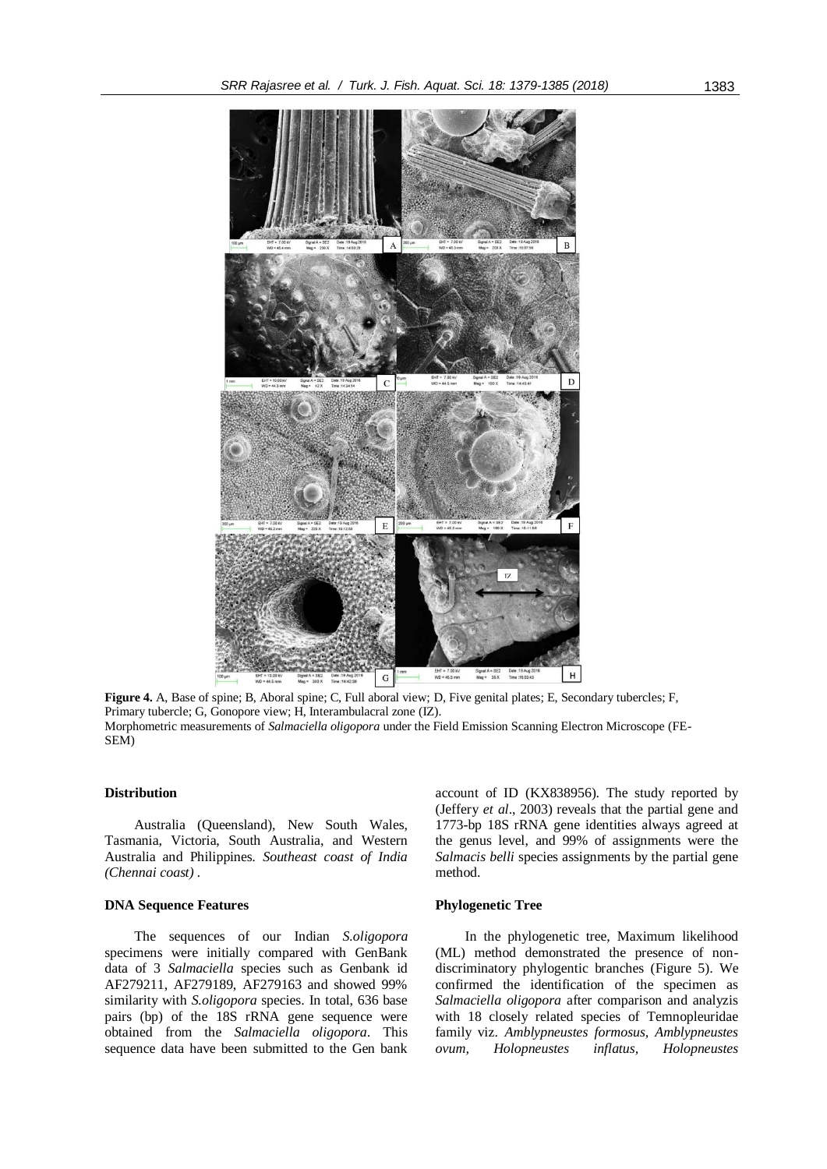

**Figure 4.** A, Base of spine; B, Aboral spine; C, Full aboral view; D, Five genital plates; E, Secondary tubercles; F, Primary tubercle; G, Gonopore view; H, Interambulacral zone (IZ). Morphometric measurements of *Salmaciella oligopora* under the Field Emission Scanning Electron Microscope (FE-SEM)

### **Distribution**

Australia (Queensland), New South Wales, Tasmania, Victoria, South Australia, and Western Australia and Philippines*. Southeast coast of India (Chennai coast) .*

# **DNA Sequence Features**

The sequences of our Indian *S.oligopora* specimens were initially compared with GenBank data of 3 *Salmaciella* species such as Genbank id AF279211, AF279189, AF279163 and showed 99% similarity with *S.oligopora* species. In total, 636 base pairs (bp) of the 18S rRNA gene sequence were obtained from the *Salmaciella oligopora*. This sequence data have been submitted to the Gen bank

account of ID (KX838956). The study reported by (Jeffery *et al*., 2003) reveals that the partial gene and 1773-bp 18S rRNA gene identities always agreed at the genus level, and 99% of assignments were the *Salmacis belli* species assignments by the partial gene method.

# **Phylogenetic Tree**

In the phylogenetic tree, Maximum likelihood (ML) method demonstrated the presence of nondiscriminatory phylogentic branches (Figure 5). We confirmed the identification of the specimen as *Salmaciella oligopora* after comparison and analyzis with 18 closely related species of Temnopleuridae family viz. *Amblypneustes formosus, Amblypneustes ovum, Holopneustes inflatus, Holopneustes*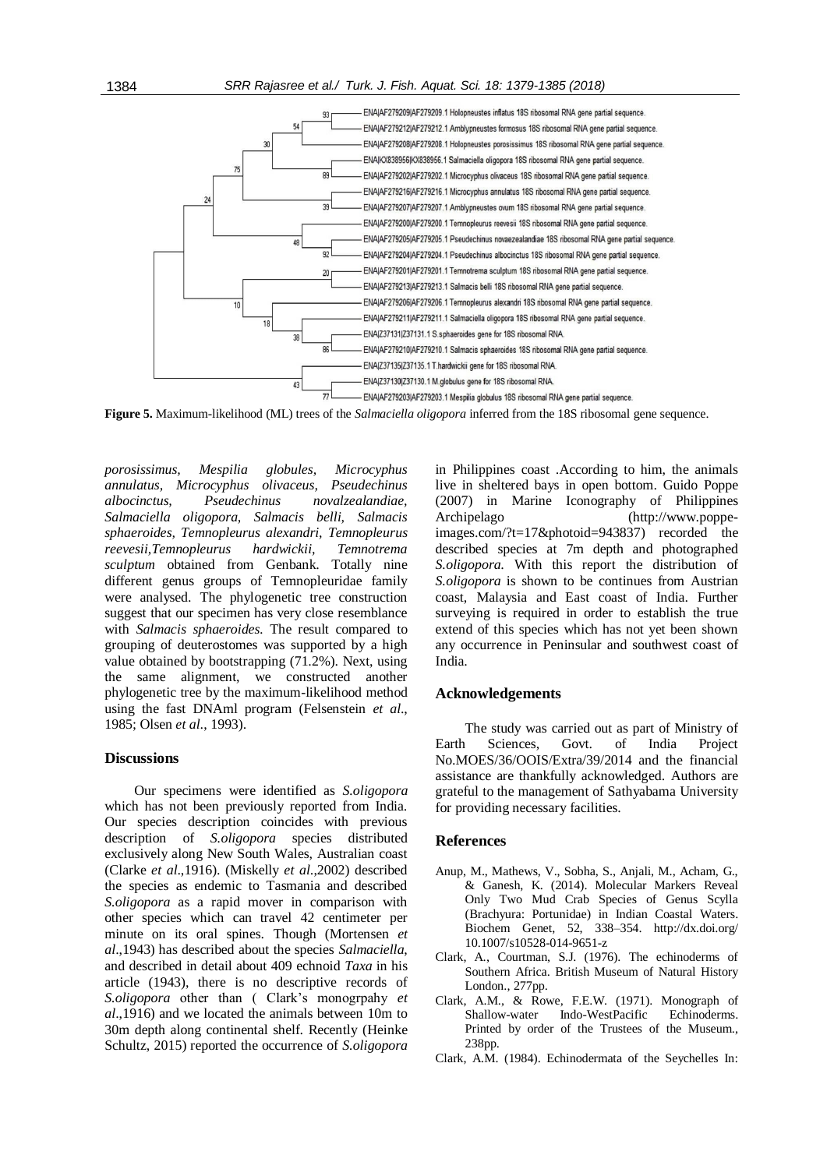

**Figure 5.** Maximum-likelihood (ML) trees of the *Salmaciella oligopora* inferred from the 18S ribosomal gene sequence.

*porosissimus, Mespilia globules, Microcyphus annulatus, Microcyphus olivaceus, Pseudechinus albocinctus, Pseudechinus novalzealandiae, Salmaciella oligopora, Salmacis belli, Salmacis sphaeroides, Temnopleurus alexandri, Temnopleurus reevesii,Temnopleurus hardwickii, Temnotrema sculptum* obtained from Genbank. Totally nine different genus groups of Temnopleuridae family were analysed. The phylogenetic tree construction suggest that our specimen has very close resemblance with *Salmacis sphaeroides.* The result compared to grouping of deuterostomes was supported by a high value obtained by bootstrapping (71.2%). Next, using the same alignment, we constructed another phylogenetic tree by the maximum-likelihood method using the fast DNAml program (Felsenstein *et al*., 1985; Olsen *et al*., 1993).

### **Discussions**

Our specimens were identified as *S.oligopora* which has not been previously reported from India. Our species description coincides with previous description of *S.oligopora* species distributed exclusively along New South Wales, Australian coast (Clarke *et al*.,1916). (Miskelly *et al*.,2002) described the species as endemic to Tasmania and described *S.oligopora* as a rapid mover in comparison with other species which can travel 42 centimeter per minute on its oral spines. Though (Mortensen *et al*.,1943) has described about the species *Salmaciella*, and described in detail about 409 echnoid *Taxa* in his article (1943), there is no descriptive records of *S.oligopora* other than ( Clark's monogrpahy *et al*.,1916) and we located the animals between 10m to 30m depth along continental shelf. Recently (Heinke Schultz, 2015) reported the occurrence of *S.oligopora* in Philippines coast .According to him, the animals live in sheltered bays in open bottom. Guido Poppe (2007) in Marine Iconography of Philippines Archipelago [\(http://www.poppe](http://www.poppe-images.com/?t=17&photoid=943837)[images.com/?t=17&photoid=943837\)](http://www.poppe-images.com/?t=17&photoid=943837) recorded the described species at 7m depth and photographed *S.oligopora*. With this report the distribution of *S.oligopora* is shown to be continues from Austrian coast, Malaysia and East coast of India. Further surveying is required in order to establish the true extend of this species which has not yet been shown any occurrence in Peninsular and southwest coast of India.

# **Acknowledgements**

The study was carried out as part of Ministry of Earth Sciences, Govt. of India Project No.MOES/36/OOIS/Extra/39/2014 and the financial assistance are thankfully acknowledged. Authors are grateful to the management of Sathyabama University for providing necessary facilities.

### **References**

- Anup, M., Mathews, V., Sobha, S., Anjali, M., Acham, G., & Ganesh, K. (2014). Molecular Markers Reveal Only Two Mud Crab Species of Genus Scylla (Brachyura: Portunidae) in Indian Coastal Waters. Biochem Genet, 52, 338–354. http://dx.doi.org/ 10.1007/s10528-014-9651-z
- Clark, A., Courtman, S.J. (1976). The echinoderms of Southern Africa. British Museum of Natural History London., 277pp.
- Clark, A.M., & Rowe, F.E.W. (1971). Monograph of Shallow-water Indo-WestPacific Echinoderms. Printed by order of the Trustees of the Museum., 238pp.
- Clark, A.M. (1984). Echinodermata of the Seychelles In: